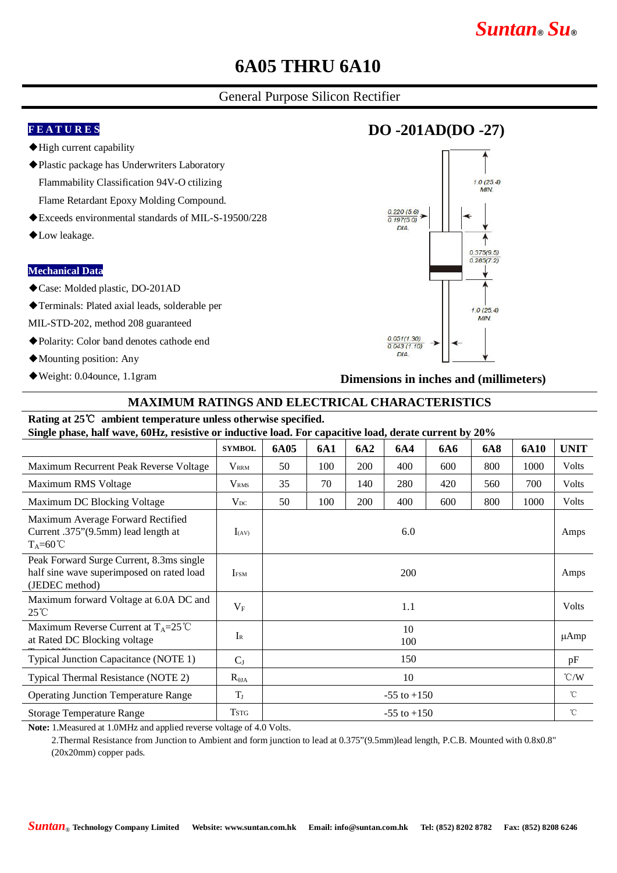# *Suntan***®** *Su***®**

### **6A05 THRU 6A10**

### General Purpose Silicon Rectifier

#### **F E A T U R E S**

- ◆High current capability
- ◆Plastic package has Underwriters Laboratory Flammability Classification 94V-O ctilizing Flame Retardant Epoxy Molding Compound.
- ◆Exceeds environmental standards of MIL-S-19500/228
- ◆Low leakage.

#### **Mechanical Data**

◆Case: Molded plastic, DO-201AD

◆Terminals: Plated axial leads, solderable per

- MIL-STD-202, method 208 guaranteed
- ◆Polarity: Color band denotes cathode end
- ◆Mounting position: Any
- ◆Weight: 0.04ounce, 1.1gram

### **DO -201AD(DO -27)**



**Dimensions in inches and (millimeters)**

#### **MAXIMUM RATINGS AND ELECTRICAL CHARACTERISTICS**

#### **Rating at 25**℃ **ambient temperature unless otherwise specified. Single phase, half wave, 60Hz, resistive or inductive load. For capacitive load, derate current by 20%**

| Single phase, half wave, buill, resistive of inductive load. For capacitive load, defait current by 20 % |                           |                 |     |     |     |     |            |             |               |
|----------------------------------------------------------------------------------------------------------|---------------------------|-----------------|-----|-----|-----|-----|------------|-------------|---------------|
|                                                                                                          | <b>SYMBOL</b>             | 6A05            | 6A1 | 6A2 | 6A4 | 6A6 | <b>6A8</b> | <b>6A10</b> | <b>UNIT</b>   |
| Maximum Recurrent Peak Reverse Voltage                                                                   | <b>V</b> <sub>RRM</sub>   | 50              | 100 | 200 | 400 | 600 | 800        | 1000        | <b>Volts</b>  |
| Maximum RMS Voltage                                                                                      | V <sub>RMS</sub>          | 35              | 70  | 140 | 280 | 420 | 560        | 700         | <b>Volts</b>  |
| Maximum DC Blocking Voltage                                                                              | $V_{DC}$                  | 50              | 100 | 200 | 400 | 600 | 800        | 1000        | Volts         |
| Maximum Average Forward Rectified<br>Current .375"(9.5mm) lead length at<br>$T_A=60^{\circ}C$            | $I_{(AV)}$                | 6.0             |     |     |     |     |            |             | Amps          |
| Peak Forward Surge Current, 8.3ms single<br>half sine wave superimposed on rated load<br>(JEDEC method)  | <b>IFSM</b>               | <b>200</b>      |     |     |     |     |            |             | Amps          |
| Maximum forward Voltage at 6.0A DC and<br>$25^{\circ}$ C                                                 | $V_{F}$                   | 1.1             |     |     |     |     |            |             | Volts         |
| Maximum Reverse Current at $T_A = 25^{\circ}C$<br>at Rated DC Blocking voltage                           | $\mathbf{I}_{\mathsf{R}}$ | 10<br>100       |     |     |     |     |            |             | μAmp          |
| Typical Junction Capacitance (NOTE 1)                                                                    | $C_{J}$                   | 150             |     |     |     |     |            |             | pF            |
| Typical Thermal Resistance (NOTE 2)                                                                      | $R_{\theta JA}$           | 10              |     |     |     |     |            |             | $\degree$ C/W |
| <b>Operating Junction Temperature Range</b>                                                              | $T_{\rm J}$               | $-55$ to $+150$ |     |     |     |     |            |             | $^{\circ}$ C  |
| <b>Storage Temperature Range</b>                                                                         | <b>TSTG</b>               | $-55$ to $+150$ |     |     |     |     |            |             | $^{\circ}$ C  |

**Note:** 1.Measured at 1.0MHz and applied reverse voltage of 4.0 Volts.

2.Thermal Resistance from Junction to Ambient and form junction to lead at 0.375"(9.5mm)lead length, P.C.B. Mounted with 0.8x0.8" (20x20mm) copper pads.